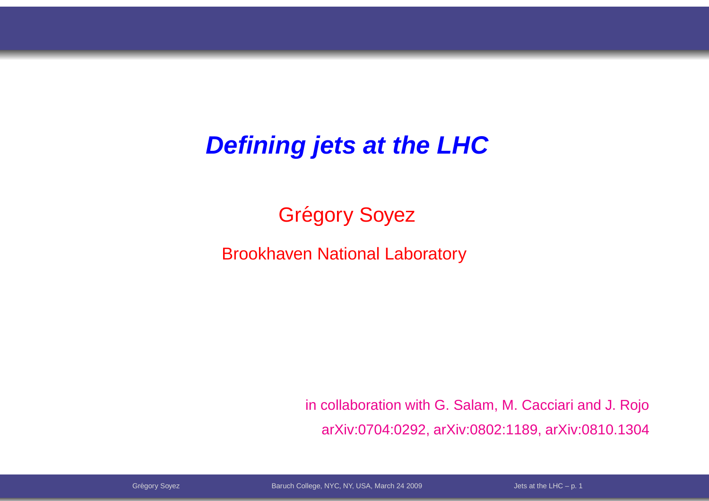#### **Defining jets at the LHC**

## Grégory Soyez

Brookhaven National Laboratory

in collaboration with G. Salam, M. Cacciari and J. RojoarXiv:0704:0292, arXiv:0802:1189, arXiv:0810.1304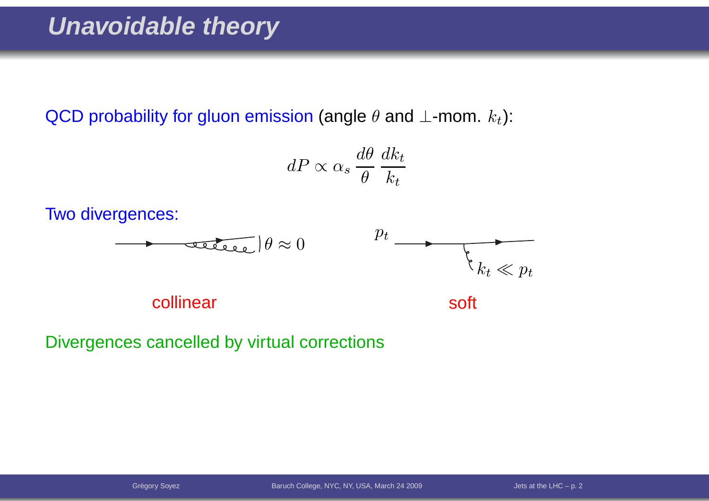QCD probability for gluon emission (angle  $\theta$  and  $\bot$ -mom.  $k_t$ ):

$$
dP \propto \alpha_s \frac{d\theta}{\theta} \frac{dk_t}{k_t}
$$

Two divergences:



collinear

soft

Divergences cancelled by virtual corrections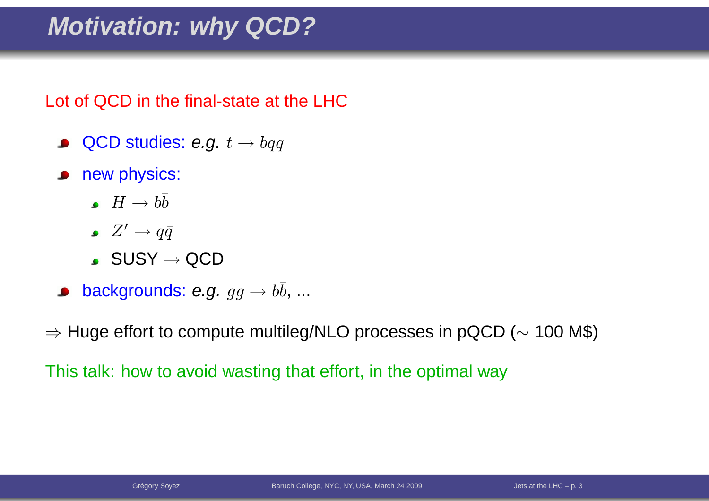### **Motivation: why QCD?**

Lot of QCD in the final-state at the LHC

- QCD studies: e.g.  $t \to b q \bar{q}$  $\bullet$
- new physics:
	- $H\rightarrow b\overline{b}$
	- $Z'\to q\bar{q}$
	- $\mathsf{SUSY}\to \mathsf{QCD}$
- backgrounds: e.g.  $gg\to b\bar{b},...$

 $\Rightarrow$  Huge effort to compute multileg/NLO processes in pQCD ( $\sim$  $\sim$  100 M\$)

This talk: how to avoid wasting that effort, in the optimal way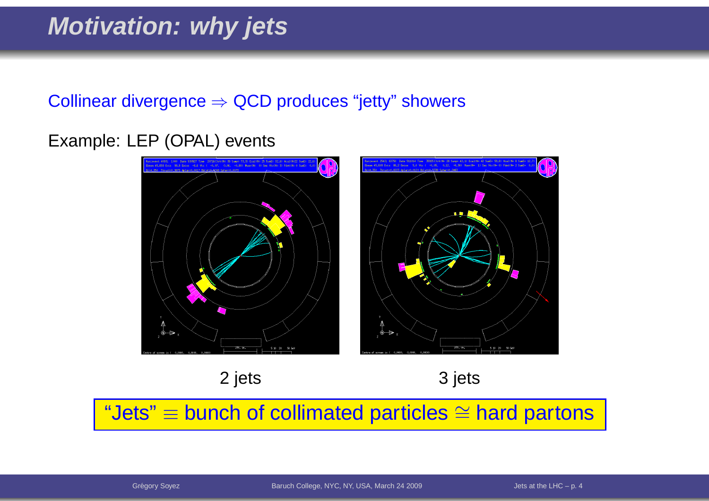### **Motivation: why jets**

# $\textsf{Collinear}\ \textsf{divergence} \Rightarrow \textsf{QCD}\ \textsf{produces}\ \textsf{``jetty''}\ \textsf{showers}$

#### Example: LEP (OPAL) events



2 jets 3 jets

"Jets"≡ bunch of collimated particles ∼= $\cong$  hard partons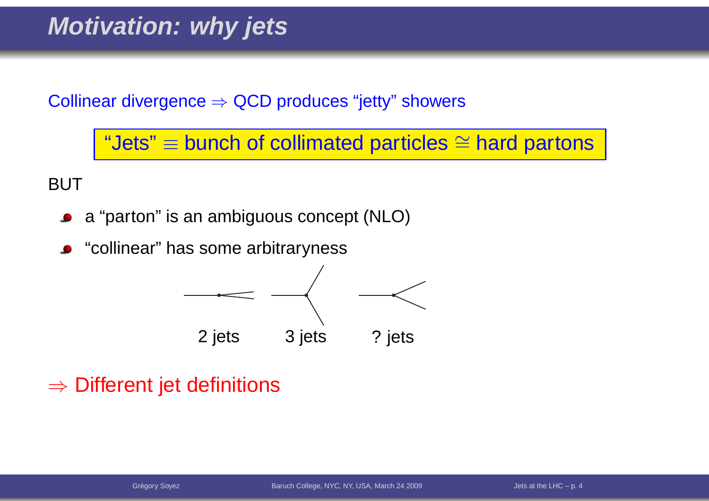#### **Motivation: why jets**

 $\textsf{Collinear}\ \textsf{divergence} \Rightarrow \textsf{QCD}\ \textsf{produces}\ \textsf{``jetty''}\ \textsf{showers}$ 

"Jets"≡ bunch of collimated particles ∼= $\cong$  hard partons

BUT

- <sup>a</sup> "parton" is an ambiguous concept (NLO) $\bullet$
- **•** "collinear" has some arbitraryness



# $\Rightarrow$  Different jet definitions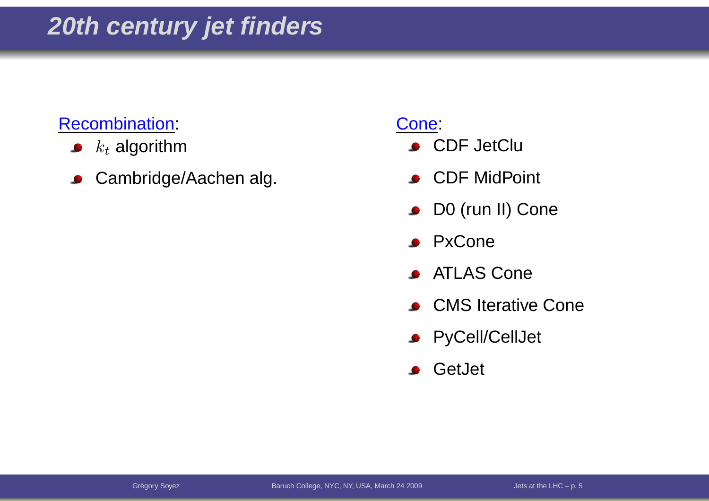#### Recombination:

- $k_t$  algorithm  $\bullet$
- Cambridge/Aachen alg.  $\bullet$

- **CDF JetClu**
- **CDF** MidPoint
- **DO** (run II) Cone
- **•** PxCone
- **ATLAS Cone**
- **CMS** Iterative Cone
- **•** PyCell/CellJet
- **S** GetJet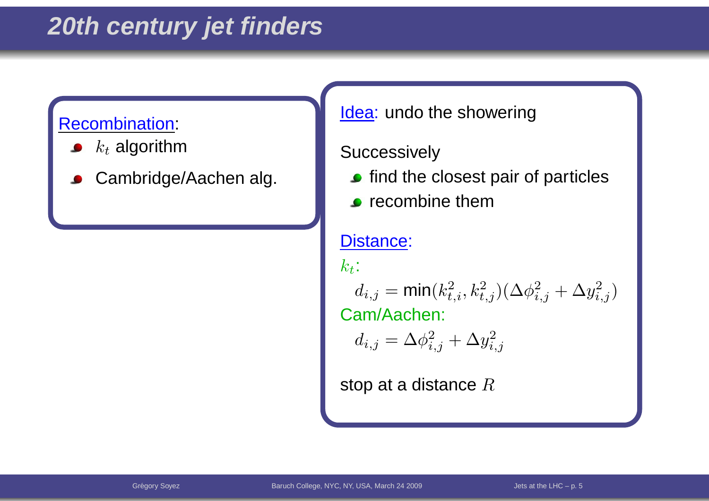### **20th century jet finders**

#### Recombination:

- $k_t$  algorithm
- Cambridge/Aachen alg.

Cones and the cones of the cones of the cones of the cones of the cones of the cones of the cones of the cones<br>Cones of the cones of the cones of the cones of the cones of the cones of the cones of the cones of the cones <u>ldea</u>: undo the showering

#### $\sqrt{ }$ **Successively**

- $\bullet$  find the closest pair of particles
- $\overline{C}$  (right)  $\bullet$  recombine them

#### Distance:

 $k_t\colon$ 

 $\begin{pmatrix} 1 & 2 \\ 1 & 2 \end{pmatrix}$  $\mathcal{C}^{(c)}$  is  $\mathcal{C}^{(c)}$  is  $\mathcal{C}^{(c)}$ . Cam/Aachen: $d_{i,j} = \mathsf{min}(k_t^2)$  $_{t,i}^2,k_t^2$  $_{t,j}^{2})(\Delta \phi_{i}^{2}% ,\Delta \phi_{i}^{2})\cdot\Delta \phi_{i}^{2}$  $_{i,j}^2+\Delta y_{i,j}^2$  $_{i,j}^{2})$ 

$$
d_{i,j} = \Delta \phi_{i,j}^2 + \Delta y_{i,j}^2
$$

stop at a distance  $R$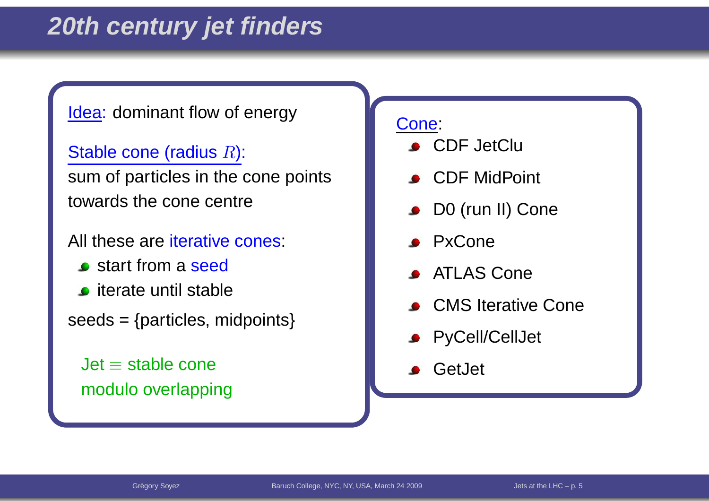#### $\frac{r}{r}$  as  $\frac{r}{r}$  and  $\frac{r}{r}$  and  $\frac{r}{r}$  and  $\frac{r}{r}$  and  $\frac{r}{r}$  and  $\frac{r}{r}$ <u>ldea</u>: dominant flow of energy

Stable cone (radius  $R$ ):

sum of particles in the cone points towards the cone centre

All these are <mark>iterative cones:</mark>

- **s** start from a seed
- **o** iterate until stable
- $seeds = {particles, midpoints}$

blJet≡ stable cone modulo overlapping

- **CDF JetClu**
- **CDF** MidPoint
- **DO** (run II) Cone
- **PxCone**
- ATLAS Cone
- **CMS** Iterative Cone
- **•** PyCell/CellJet
- **S** GetJet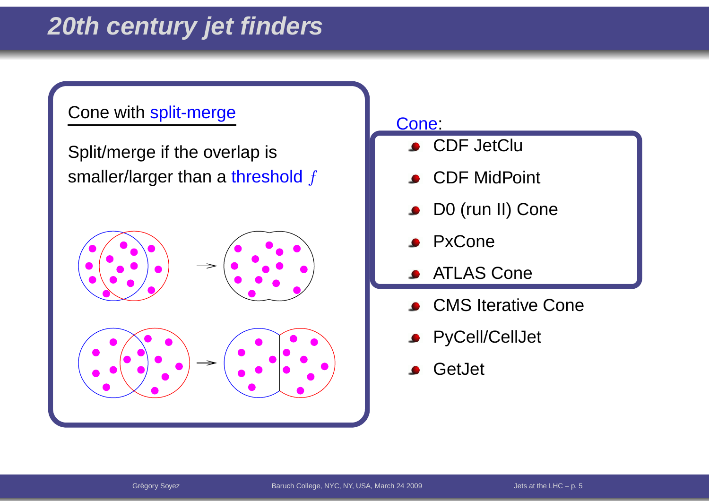### **20th century jet finders**

#### Cone with split-merge

Split/merge if the overlap is smaller/larger than a <mark>threshol</mark>d  $f$ 



- CDF JetClu
- CDF MidPoint
- D0 (run II) Cone $\bullet$
- PxCone
- ATLAS Cone
- CMS Iterative Cone
- **PyCell/CellJet**
- **GetJet**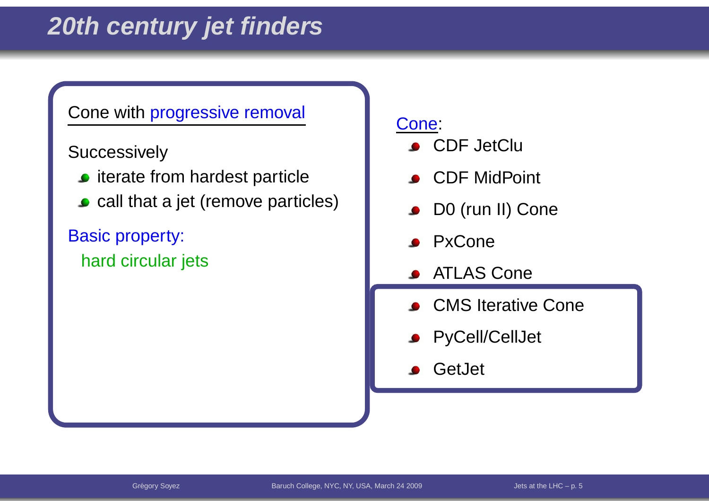### **20th century jet finders**

#### Cone with progressive removal

Successively

- $\bullet$  iterate from hardest particle
- **call that a jet (remove particles)**

Basic property: hard circular jets

- **CDF** JetClu
- **CDF** MidPoint
- D0 (run II) Cone  $\bullet$
- **PxCone**
- ATLAS Cone
- **CMS** Iterative Cone
- **•** PyCell/CellJet
- **S** GetJet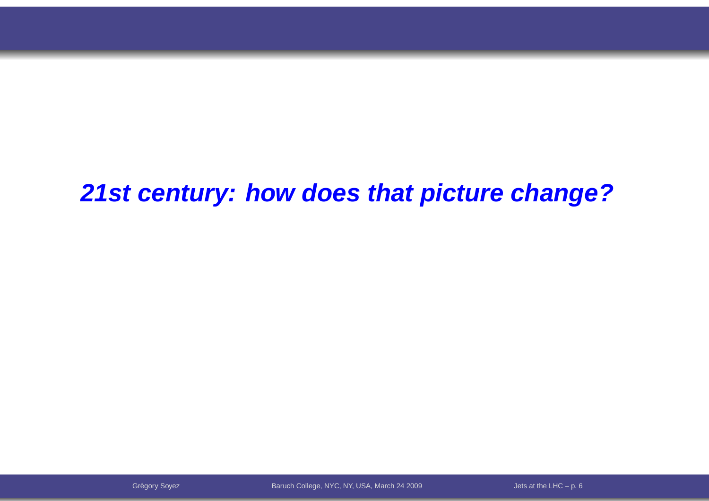**21st century: how does that picture change?**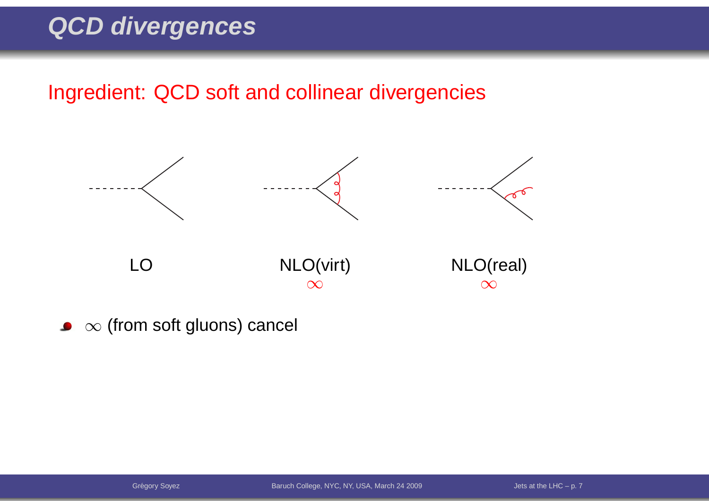#### Ingredient: QCD soft and collinear divergencies



 $\infty$  (from soft gluons) cancel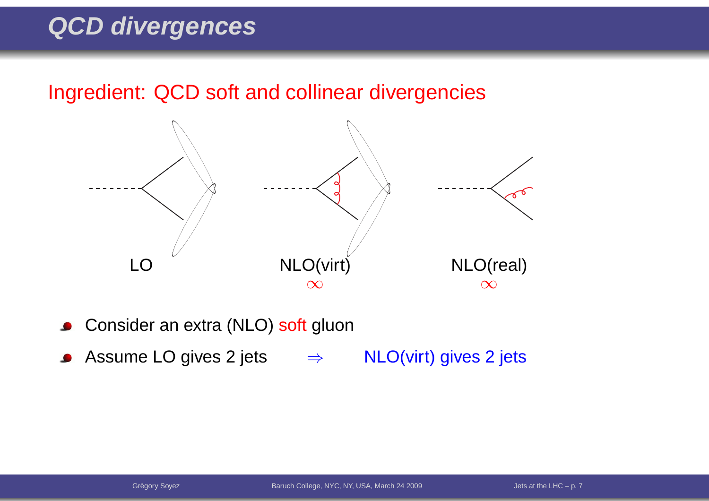Ingredient: QCD soft and collinear divergencies



- Consider an extra (NLO) <mark>soft</mark> gluon  $\bullet$
- Assume LO gives 2 jets  $\Rightarrow$ NLO(virt) gives <sup>2</sup> jets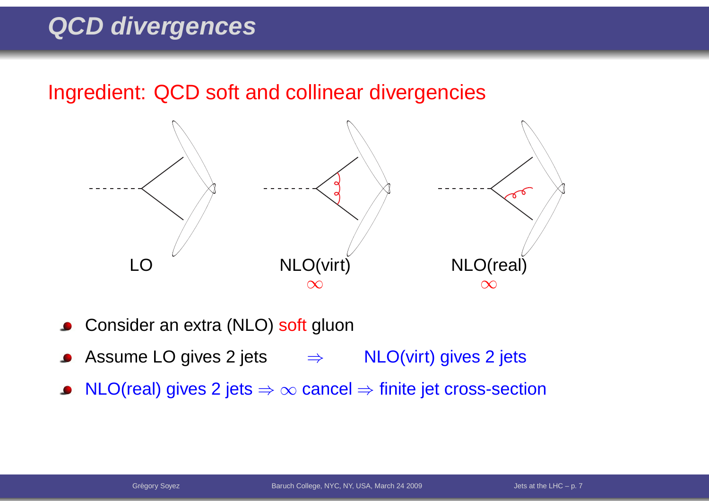Ingredient: QCD soft and collinear divergencies



- Consider an extra (NLO) <mark>soft</mark> gluon
- Assume LO gives 2 jets  $\Rightarrow$  NLO(virt) gives 2 jets
- $\mathsf{NLO}(\mathsf{real})$  gives 2 jets  $\Rightarrow \infty$  cancel  $\Rightarrow$  finite jet cross-section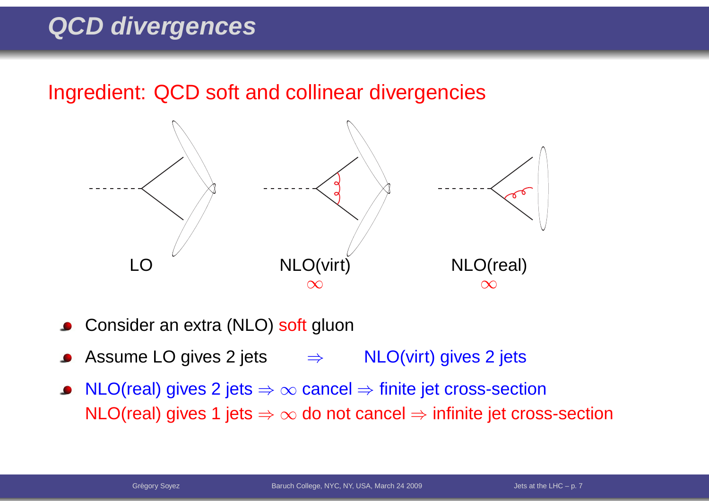Ingredient: QCD soft and collinear divergencies



- Consider an extra (NLO) <mark>soft</mark> gluon
- Assume LO gives 2 jets  $\Rightarrow$  NLO(virt) gives 2 jets
- NLO(real) gives 2 jets ⇒  $\infty$  cancel ⇒ finite jet cross-section<br>NLO(real) gives 4 jets ⇒ se de pet cancel → infinite ist cross  $\mathsf{NLO}(\mathsf{real})$  gives 1 jets  $\Rightarrow \infty$  do not cancel  $\Rightarrow$  infinite jet cross-section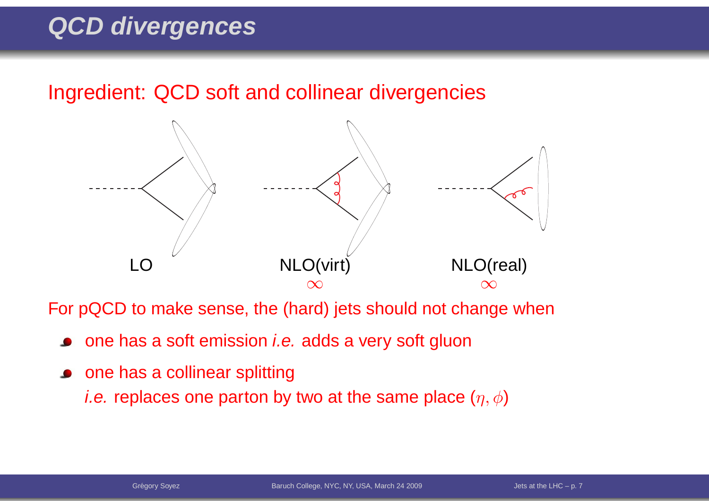Ingredient: QCD soft and collinear divergencies



For pQCD to make sense, the (hard) jets should not change when

- one has a soft emission *i.e.* adds a very soft gluon
- **•** one has a collinear splitting *i.e.* replaces one parton by two at the same place  $(\eta,\phi)$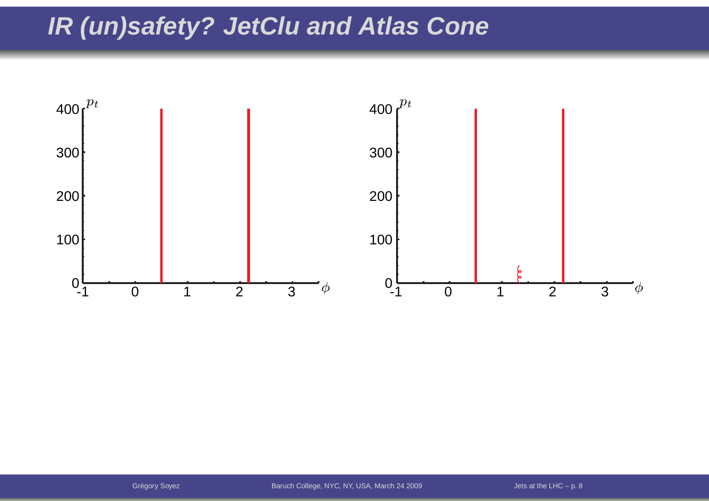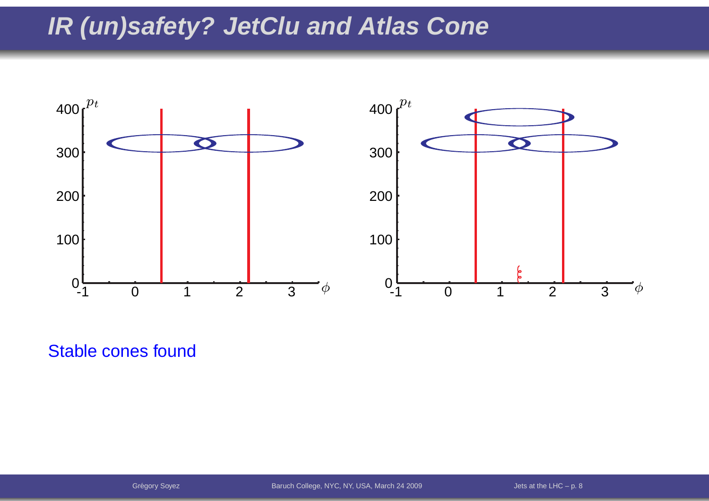

Stable cones found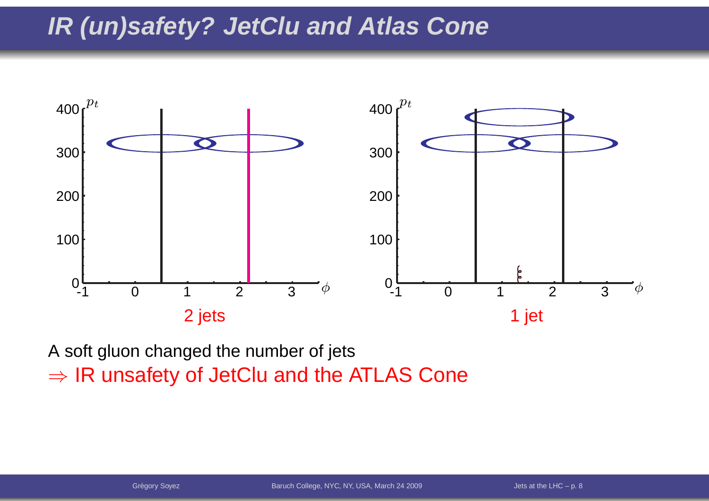

A soft gluon changed the number of jets $\Rightarrow$  IR unsafety of JetClu and the ATLAS Cone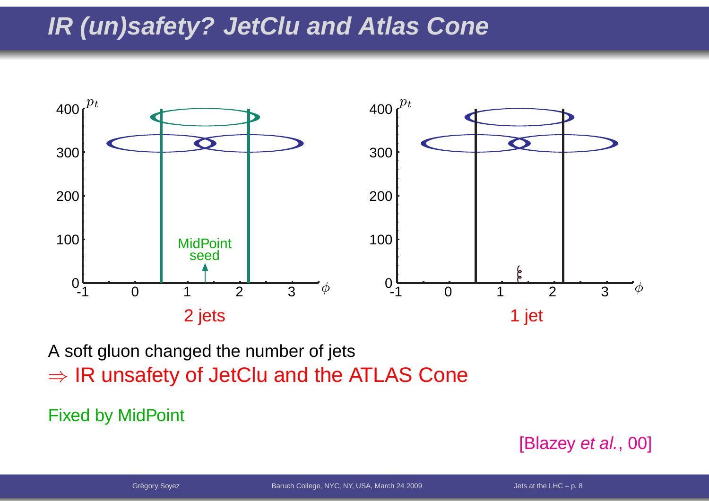

A soft gluon changed the number of jets $\Rightarrow$  IR unsafety of JetClu and the ATLAS Cone

Fixed by MidPoint

[Blazey *et al.*, 00]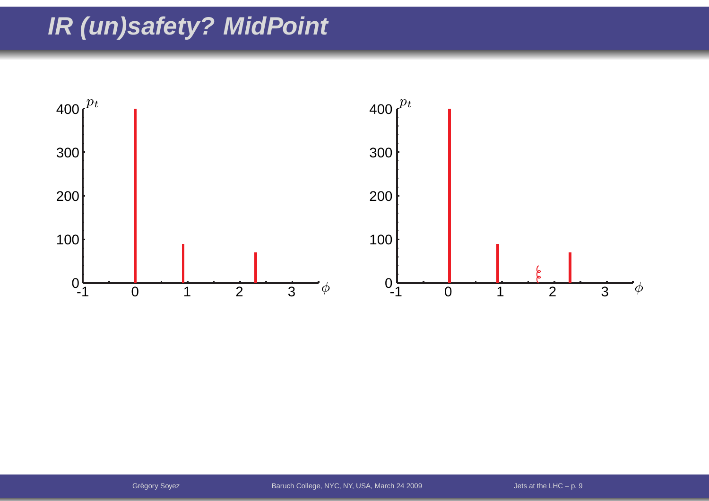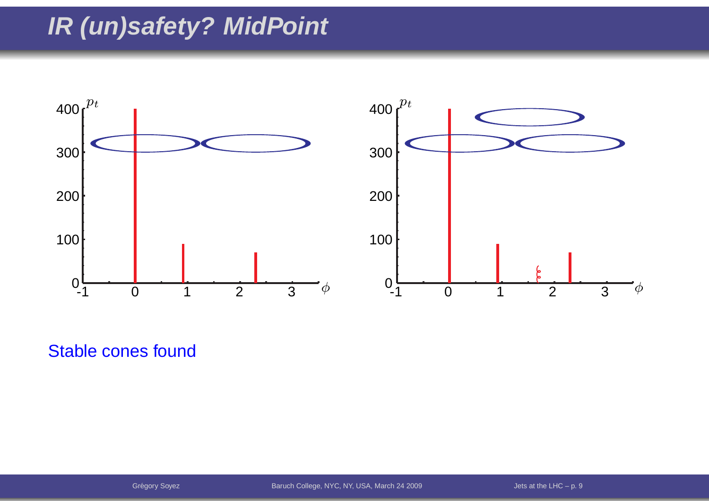

Stable cones found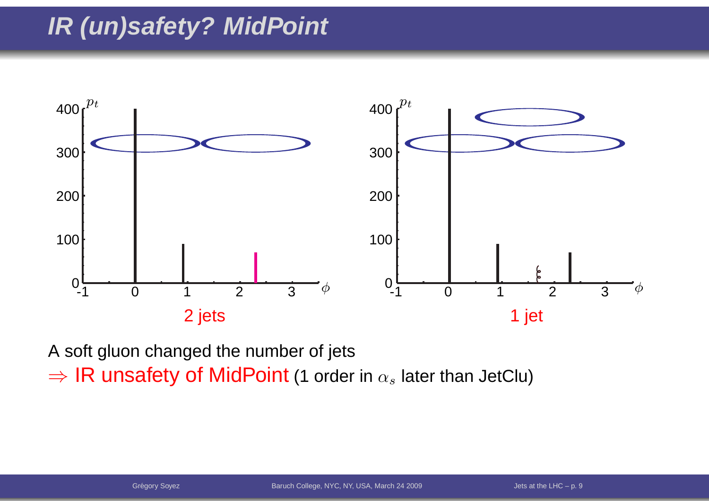

A soft gluon changed the number of jets ⇒ IR unsafety of MidPoint (1 order in  $\alpha_s$  later than JetClu)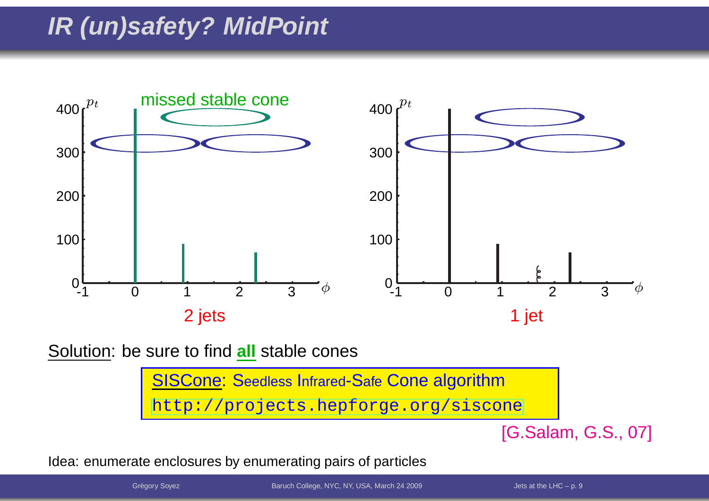

Solution: be sure to find **all** stable cones

<mark>SISCone: S</mark>eedless Infrared-Safe Con<mark>e algorithm</mark> [http://projects](http://projects.hepforge.org/siscone).[hepforge](http://projects.hepforge.org/siscone).[org/sisc](http://projects.hepforge.org/siscone)one

[G.Salam, G.S., 07]

Idea: enumerate enclosures by enumerating pairs of particles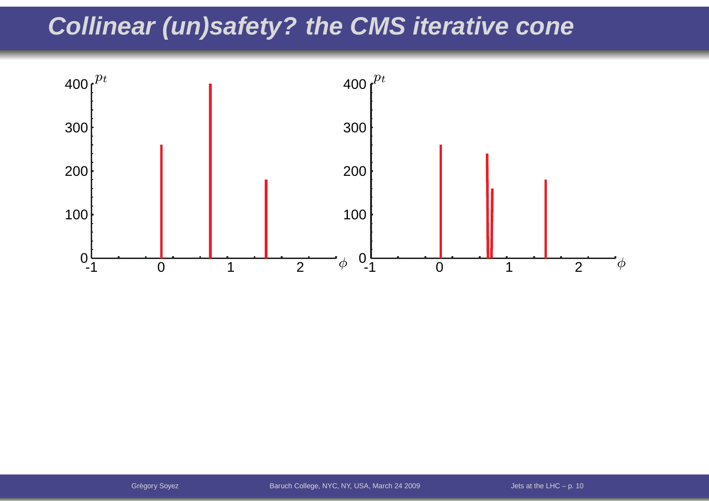### **Collinear (un)safety? the CMS iterative cone**

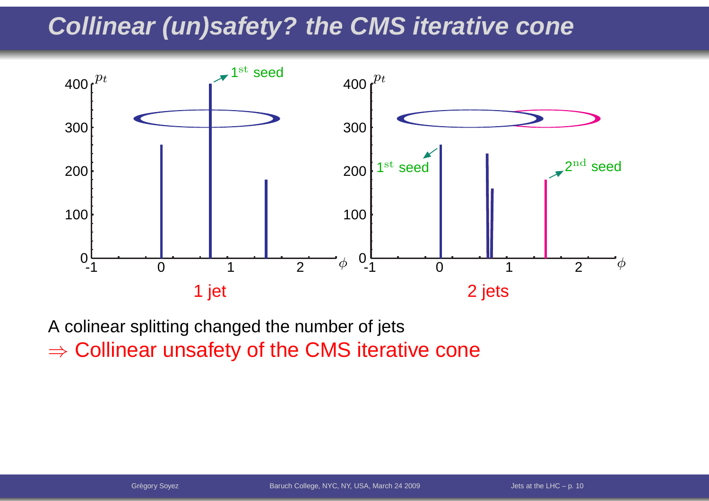### **Collinear (un)safety? the CMS iterative cone**



A colinear splitting changed the number of jets $\Rightarrow$  Collinear unsafety of the CMS iterative cone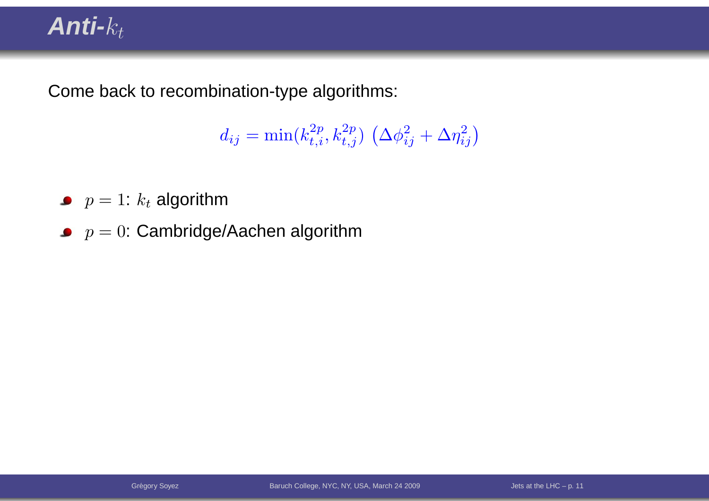### $Anti-$

Come back to recombination-type algorithms:

$$
d_{ij} = \min(k_{t,i}^{2p}, k_{t,j}^{2p}) \left(\Delta \phi_{ij}^2 + \Delta \eta_{ij}^2\right)
$$

- $p=1$ :  $k_t$  algorithm
- $\displaystyle{p=0:}$  Cambridge/Aachen algorithm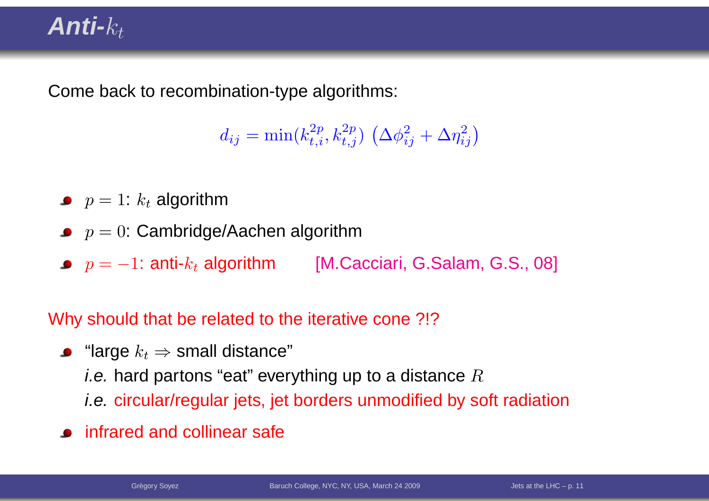### **Anti-**kt

Come back to recombination-type algorithms:

 $d_{ij} = \min(k_{t,i}^{2p}, k_{t,j}^{2p}) \left(\Delta \phi_{ij}^2 + \Delta \eta_{ij}^2\right)$ 

- $p=1$ :  $k_t$  algorithm
- $\displaystyle{p=0:}$  Cambridge/Aachen algorithm
- $p = -1$ : anti- $k_t$  algorithm [M.Cacciari, G.Salam, G.S., 08]

Why should that be related to the iterative cone ?!?

- "large  $k_t$  ⇒ small distance"<br>*i* e\_berd pertens "eet" ever *i.e.* hard partons "eat" everything up to a distance  $R$ i.e. circular/regular jets, jet borders unmodified by soft radiation
- infrared and collinear safe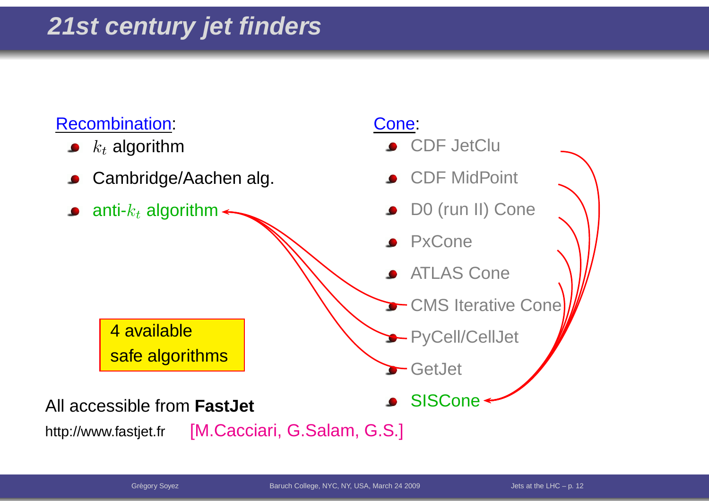#### Recombination:

- $k_t$  algorithm
- Cambridge/Aachen alg.
- anti- $k_t$  algorithm

#### Cone:

- CDF JetClu
- CDF MidPoint
- D0 (run II) Cone
- PxCone
- ATLAS Cone
- CMS Iterative Cone
- PyCell/CellJet

**SISCone** 

GetJet

aAll accessible from **FastJet**

4 available

safe algorithms

http://www.fastjet.fr[M.Cacciari, G.Salam, G.S.]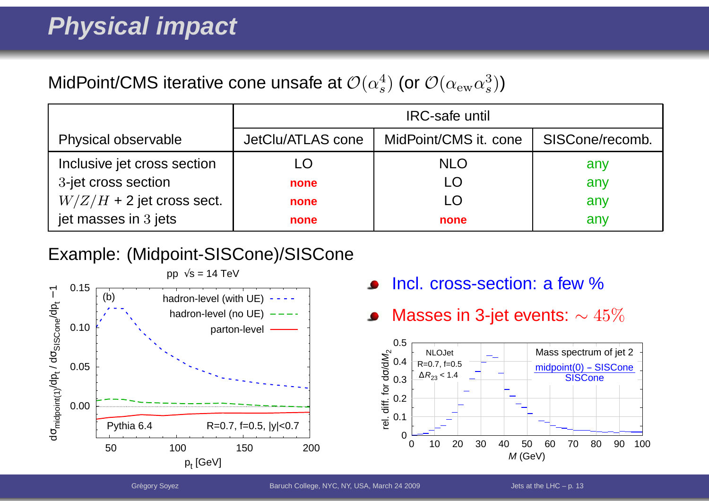#### MidPoint/CMS iterative cone unsafe at  ${\cal O}(\alpha_s^4)$  (or  ${\cal O}(\alpha_{\rm ew} \alpha_s^3)$ )

|                             | <b>IRC-safe until</b> |                       |                 |
|-----------------------------|-----------------------|-----------------------|-----------------|
| Physical observable         | JetClu/ATLAS cone     | MidPoint/CMS it. cone | SISCone/recomb. |
| Inclusive jet cross section | LO                    | <b>NLO</b>            | any             |
| 3-jet cross section         | none                  | LÖ                    | any             |
| $W/Z/H$ + 2 jet cross sect. | none                  |                       | any             |
| jet masses in 3 jets        | none                  | none                  | any             |

#### Example: (Midpoint-SISCone)/SISCone



- Incl. cross-section: <sup>a</sup> few %
- Masses in 3-jet events:  $\sim 45\%$  $\bullet$

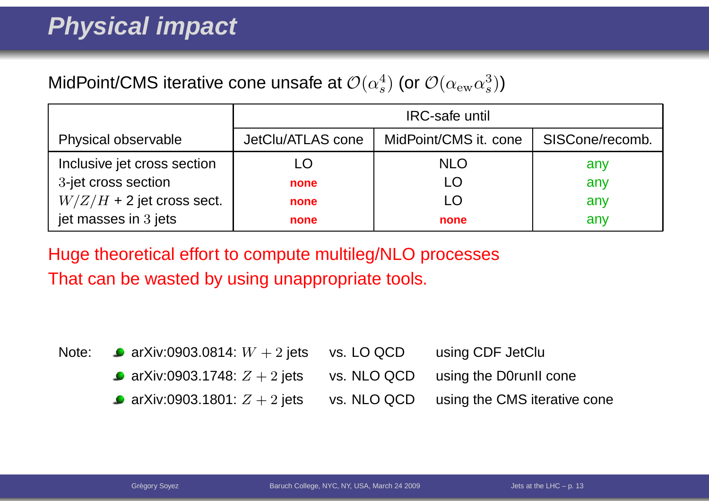#### MidPoint/CMS iterative cone unsafe at  ${\cal O}(\alpha_s^4)$  (or  ${\cal O}(\alpha_{\rm ew} \alpha_s^3)$ )

|                             | <b>IRC-safe until</b> |                       |                 |
|-----------------------------|-----------------------|-----------------------|-----------------|
| Physical observable         | JetClu/ATLAS cone     | MidPoint/CMS it. cone | SISCone/recomb. |
| Inclusive jet cross section | LO                    | <b>NLO</b>            | any             |
| 3-jet cross section         | none                  |                       | any             |
| $W/Z/H$ + 2 jet cross sect. | none                  |                       | any             |
| jet masses in 3 jets        | none                  | none                  | any             |

Huge theoretical effort to compute multileg/NLO processesThat can be wasted by using unappropriate tools.

| Note: $\bullet$ arXiv:0903.0814: $W + 2$ jets vs. LO QCD           |             | using CDF JetClu             |
|--------------------------------------------------------------------|-------------|------------------------------|
| • arXiv:0903.1748: $Z + 2$ jets vs. NLO QCD using the D0runII cone |             |                              |
| • arXiv:0903.1801: $Z + 2$ jets                                    | vs. NLO QCD | using the CMS iterative cone |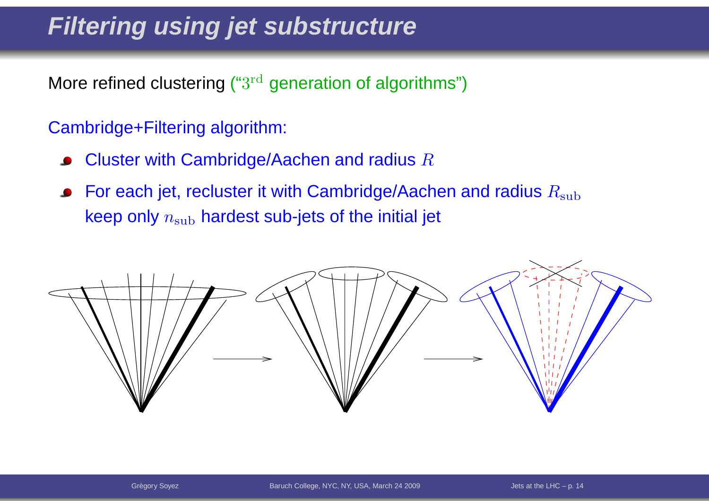### **Filtering using jet substructure**

More refined clustering (" $3^{\rm rd}$  generation of algorithms")

#### Cambridge+Filtering algorithm:

- Cluster with Cambridge/Aachen and radius  $R$  $\bullet$
- For each jet, recluster it with Cambridge/Aachen and radius  $R_{\rm sub}$  $\bullet$ keep only  $n_{\rm sub}$  hardest sub-jets of the initial jet

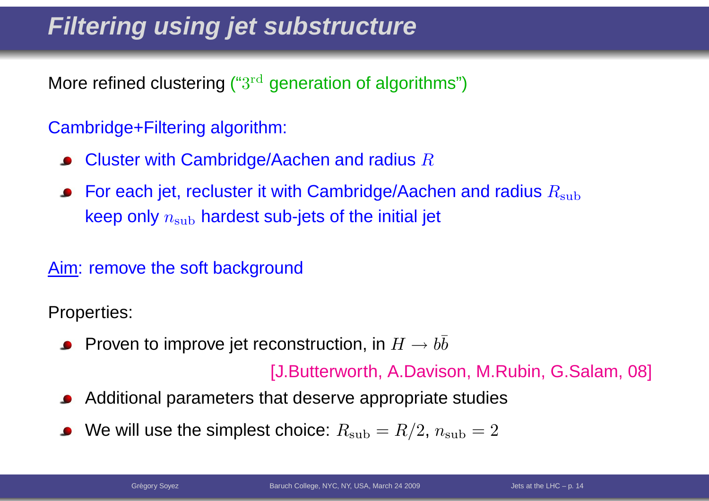### **Filtering using jet substructure**

More refined clustering (" $3^{\rm rd}$  generation of algorithms")

#### Cambridge+Filtering algorithm:

- Cluster with Cambridge/Aachen and radius  $R$
- For each jet, recluster it with Cambridge/Aachen and radius  $R_{\rm sub}$ keep only  $n_{\rm sub}$  hardest sub-jets of the initial jet

#### Aim: remove the soft background

Properties:

Proven to improve jet reconstruction, in  $H\to b\bar b$ 

[J.Butterworth, A.Davison, M.Rubin, G.Salam, 08]

- Additional parameters that deserve appropriate studies
- We will use the simplest choice:  $R_{\rm sub} = R/2$ ,  $n_{\rm sub} = 2$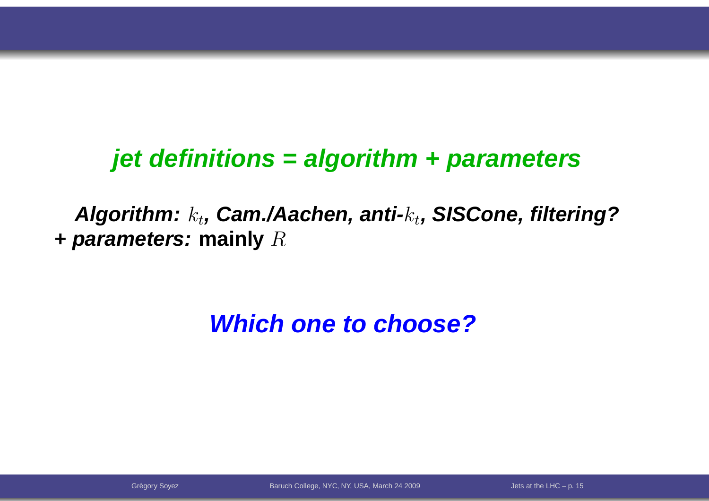#### **jet definitions <sup>=</sup> algorithm <sup>+</sup> parameters**

**Algorithm:**k<sup>t</sup>**, Cam./Aachen, anti-**k<sup>t</sup>**, SISCone, filtering?+ parameters: mainly**  $R$ 

### **Which one to choose?**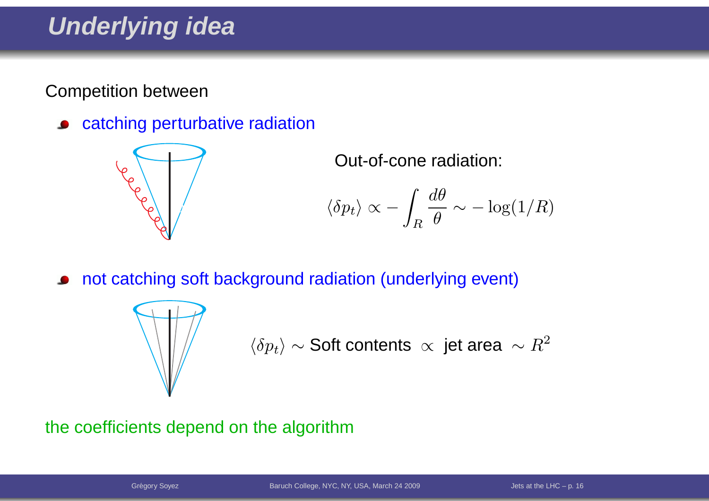### **Underlying idea**

Competition between

catching perturbative radiation $\bullet$ 



Out-of-cone radiation:

$$
\langle \delta p_t \rangle \propto -\int_R \frac{d\theta}{\theta} \sim -\log(1/R)
$$

not catching soft background radiation (underlying event)



$$
\langle \delta p_t \rangle \sim \text{Soft contents } \propto \text{ jet area } \sim R^2
$$

#### the coefficients depend on the algorithm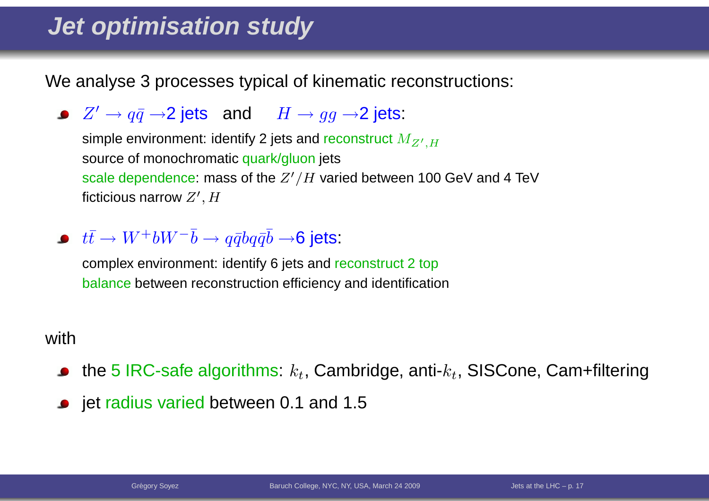### **Jet optimisation study**

We analyse 3 processes typical of kinematic reconstructions:

 $Z'\to q\bar{q}\to$ 2 jets and  $H\to gg\to$ 2 jets:

simple environment: identify 2 jets and reconstruct  $M_{Z^{\prime},H}$ source of monochromatic <mark>q</mark>uark/gluon jets scale dependence: mass of the  $Z^\prime/H$  varied between 100 GeV and 4 TeV<br>5. ... ficticious narrow  $Z^\prime, H$ 

 $t\bar{t}\to W^+bW^-\bar{b}\to q\bar{q}b q\bar{q}\bar{b}\to$ 6 jets:

 complex environment: identify 6 jets and reconstruct <sup>2</sup> topbalance between reconstruction efficiency and identification

#### with

- the 5 IRC-safe algorithms:  $k_t$ , Cambridge, anti- $k_t$ , SISCone, Cam+filtering
- jet radius varied between 0.1 and 1.5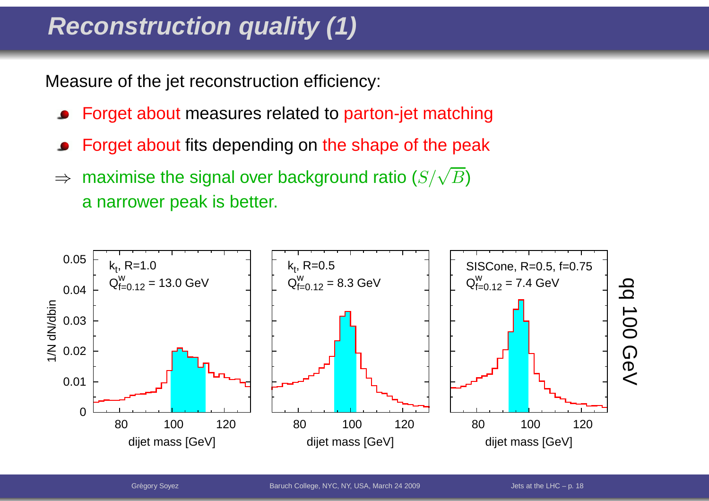## **Reconstruction quality (1)**

Measure of the jet reconstruction efficiency:

- Forget about measures related to parton-jet matching
- Forget about fits depending on the shape of the peak
- ⇒ $\Rightarrow$  maximise the signal over background ratio  $(S/\sqrt{B})$ <sup>a</sup> narrower peak is better.

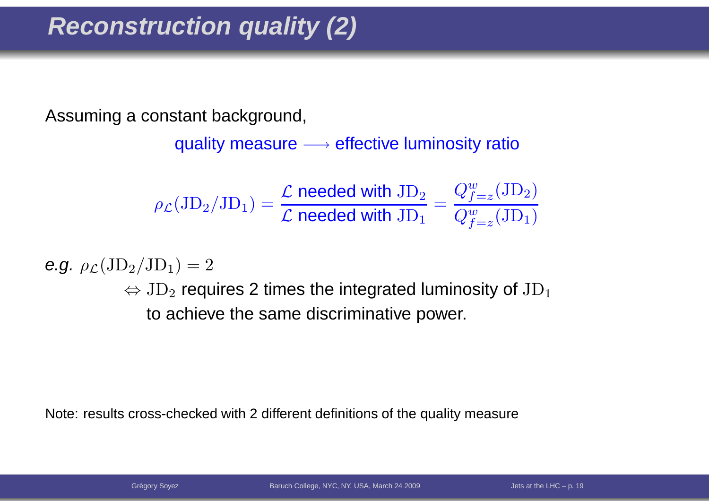### **Reconstruction quality (2)**

Assuming <sup>a</sup> constant background,

quality measure  $\longrightarrow$  effective luminosity ratio

$$
\rho_{\mathcal{L}}(\mathrm{JD}_2/\mathrm{JD}_1) = \frac{\mathcal{L} \text{ needed with } \mathrm{JD}_2}{\mathcal{L} \text{ needed with } \mathrm{JD}_1} = \frac{Q_{f=z}^w(\mathrm{JD}_2)}{Q_{f=z}^w(\mathrm{JD}_1)}
$$

e.g.  $\rho_{\mathcal{L}}(\mathrm{JD}_2/\mathrm{JD}_1) = 2$ 

 $\Leftrightarrow$   $\text{JD}_2$  $_{\rm 2}$  requires 2 times the integrated luminosity of  ${\rm JD}$ 1to achieve the same discriminative power.

Note: results cross-checked with <sup>2</sup> different definitions of the quality measure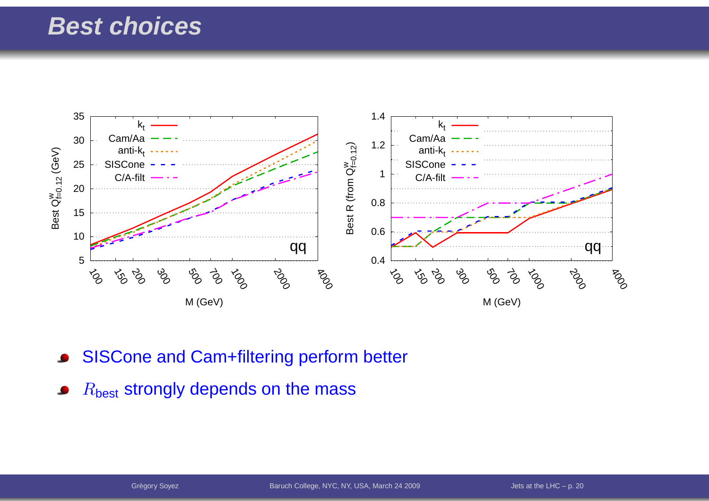#### **Best choices**



SISCone and Cam+filtering perform better

 $R_{\mathsf{best}}$  strongly depends on the mass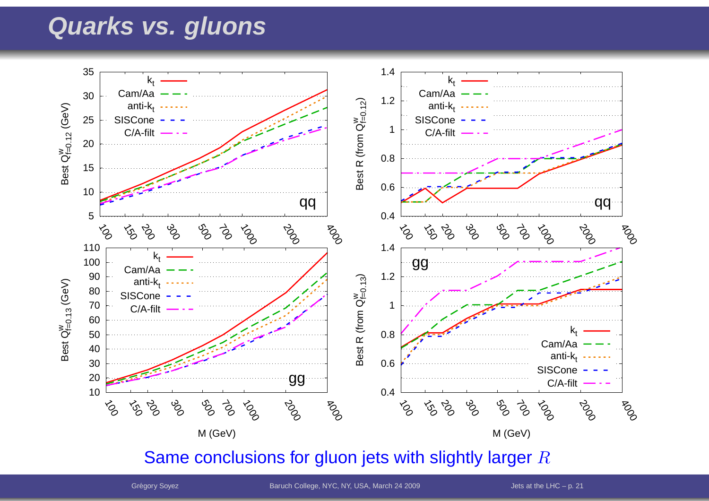#### **Quarks vs. gluons**



Same conclusions for gluon jets with slightly larger  $R$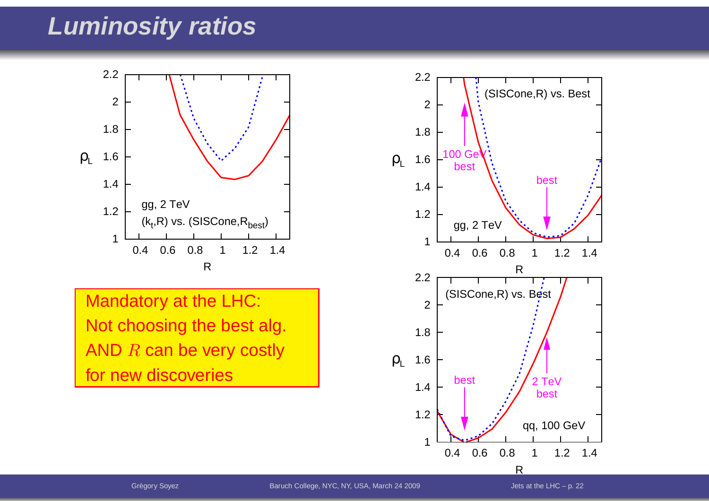#### **Luminosity ratios**



Mandatory at the LHC: Not choosing the best alg. AND  $R$  can be very costly for new discoveries

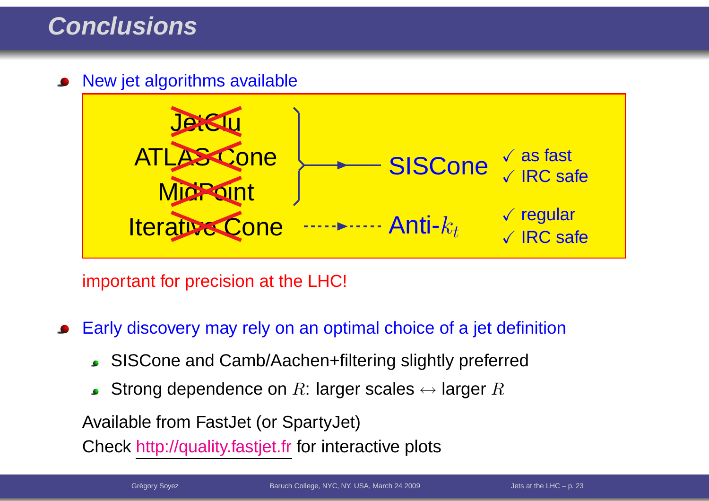#### **Conclusions**

New jet algorithms available



important for precision at the LHC!

Early discovery may rely on an optimal choice of <sup>a</sup> jet definition

- SISCone and Camb/Aachen+filtering slightly preferred
- Strong dependence on  $R$ : larger scales  $\leftrightarrow$  larger  $R$

Available from FastJet (or SpartyJet)

Check <u>http://quality.fastjet.fr</u> for interactive plots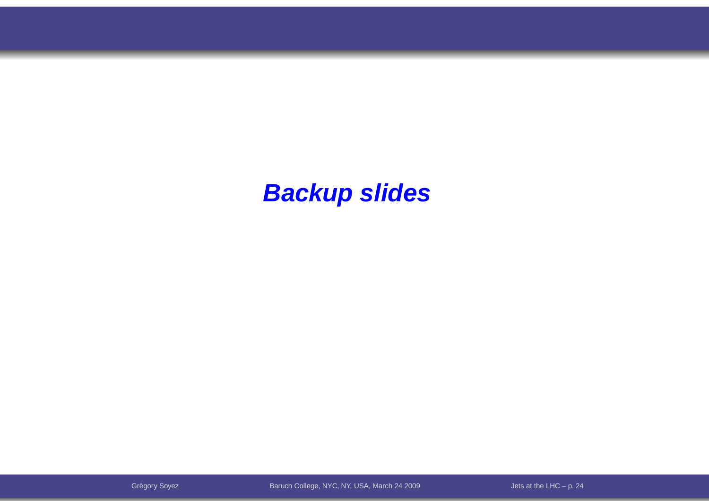#### **Backup slides**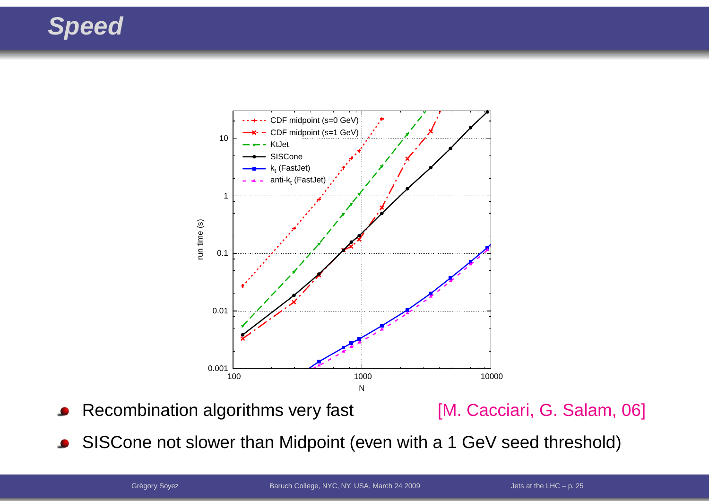### **Speed**



Recombination algorithms very fast [M. Cacciari, G. Salam, 06]

SISCone not slower than Midpoint (even with <sup>a</sup> <sup>1</sup> GeV seed threshold) $\bullet$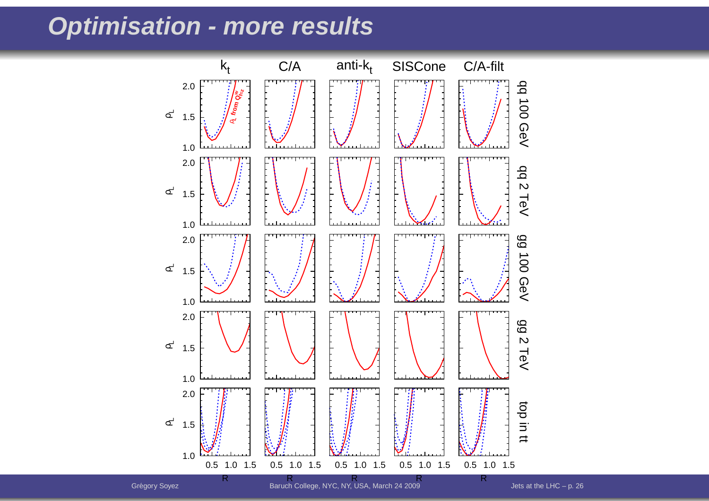#### **Optimisation - more results**

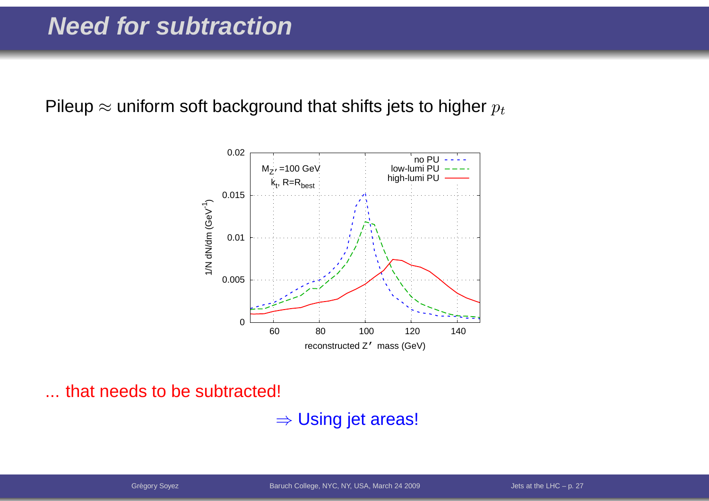Pileup  $\approx$  uniform soft background that shifts jets to higher  $p_t$ 



... that needs to be subtracted!

 $\Rightarrow$  Using jet areas!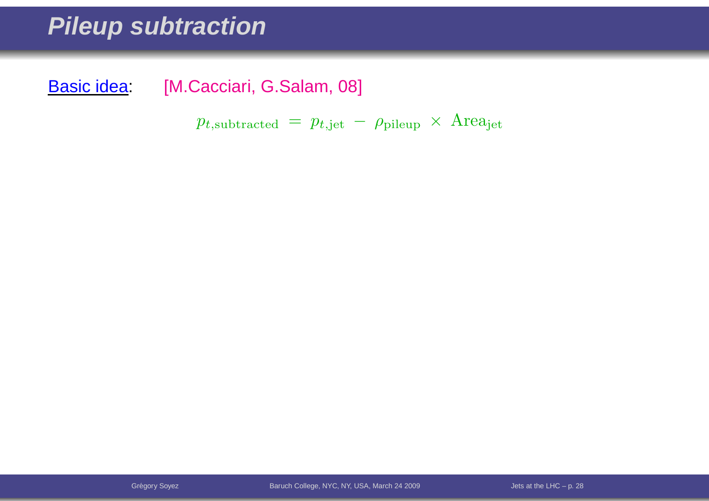#### **Pileup subtraction**

Basic idea: [M.Cacciari, G.Salam, 08]

 $p_{t,\text{subtracted}} \, = \, p_{t,\text{jet}} \, - \, \rho_{\text{pileup}} \, \times \, \text{Area}_{\text{jet}}$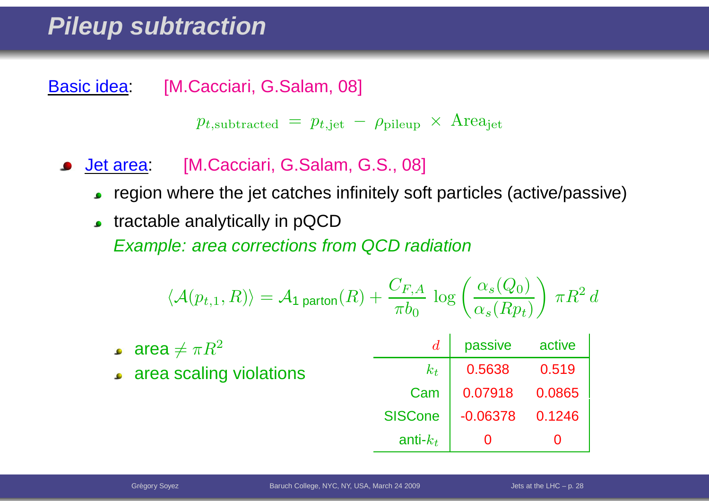#### **Pileup subtraction**

Basic idea: [M.Cacciari, G.Salam, 08]

 $p_{t,\text{subtracted}} \, = \, p_{t,\text{jet}} \, - \, \rho_{\text{pileup}} \, \times \, \text{Area}_{\text{jet}}$ 

- Jet area: [M.Cacciari, G.Salam, G.S., 08]
	- region where the jet catches infinitely soft particles (active/passive)
	- **tractable analytically in pQCD**

Example: area corrections from QCD radiation

$$
\langle \mathcal{A}(p_{t,1}, R) \rangle = \mathcal{A}_1 \text{ parton}(R) + \frac{C_{F,A}}{\pi b_0} \log \left( \frac{\alpha_s(Q_0)}{\alpha_s(Rp_t)} \right) \pi R^2 d
$$

| • area $\neq \pi R^2$     |                | passive           | active |
|---------------------------|----------------|-------------------|--------|
| • area scaling violations | $k_t$          | 0.5638            | 0.519  |
|                           | Cam            | 0.07918           | 0.0865 |
|                           | <b>SISCone</b> | $-0.06378$ 0.1246 |        |
|                           | anti- $k_t$    |                   |        |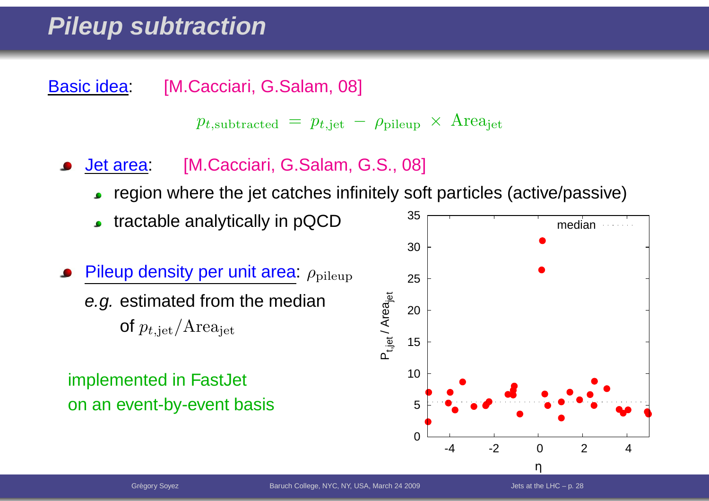### **Pileup subtraction**

Basic idea: [M.Cacciari, G.Salam, 08]

$$
p_{t,subtracted} = p_{t, jet} - \rho_{pileup} \times \text{Area}_{jet}
$$

- Jet area: [M.Cacciari, G.Salam, G.S., 08]
	- region where the jet catches infinitely soft particles (active/passive)
	- tractable analytically in pQCD
- Pileup density per unit area:  $\rho_{\text{pileup}}$ *e.g.* estimated from the median of  $p_{t,\text{jet}}/Area_{\text{jet}}$

#### implemented in FastJet on an event-by-event basis

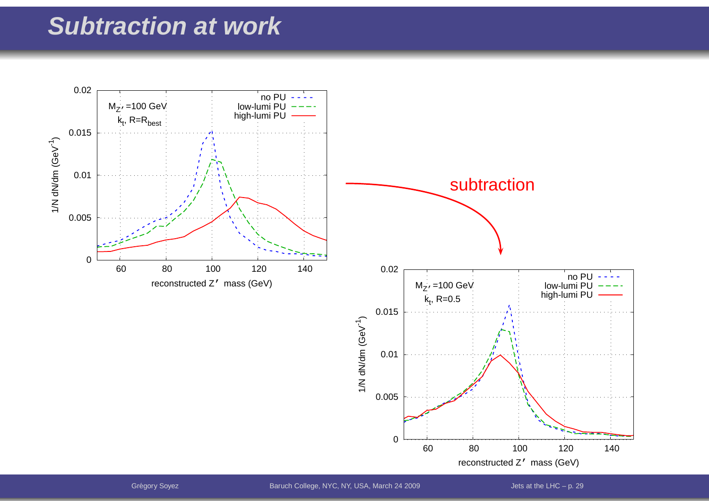#### **Subtraction at work**